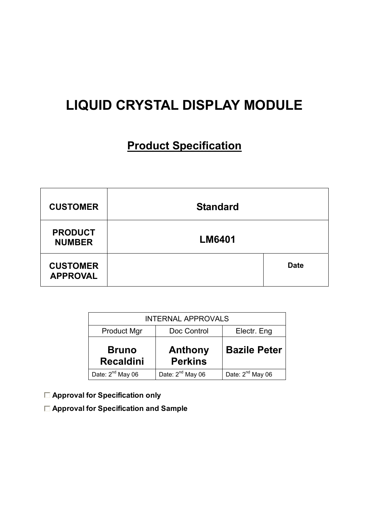# **LIQUID CRYSTAL DISPLAY MODULE**

# **Product Specification**

| <b>CUSTOMER</b>                    | <b>Standard</b> |             |
|------------------------------------|-----------------|-------------|
| <b>PRODUCT</b><br><b>NUMBER</b>    | <b>LM6401</b>   |             |
| <b>CUSTOMER</b><br><b>APPROVAL</b> |                 | <b>Date</b> |

| <b>INTERNAL APPROVALS</b>                        |                                  |                     |  |  |  |
|--------------------------------------------------|----------------------------------|---------------------|--|--|--|
| Doc Control<br><b>Product Mgr</b><br>Electr. Eng |                                  |                     |  |  |  |
| <b>Bruno</b><br><b>Recaldini</b>                 | <b>Anthony</b><br><b>Perkins</b> | <b>Bazile Peter</b> |  |  |  |
| Date: 2 <sup>nd</sup> May 06                     | Date: 2 <sup>nd</sup> May 06     |                     |  |  |  |

- **Approval for Specification only**
- **Approval for Specification and Sample**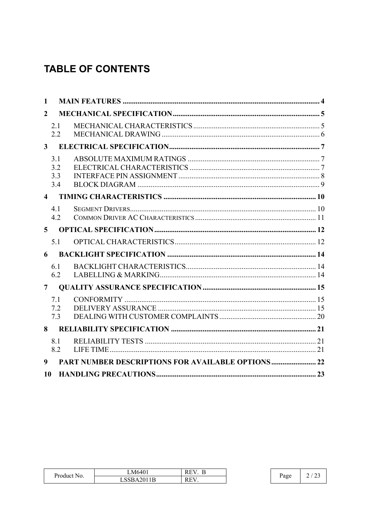# **TABLE OF CONTENTS**

| 1              |                          |                                                           |  |
|----------------|--------------------------|-----------------------------------------------------------|--|
| $\overline{2}$ |                          |                                                           |  |
|                | 2.1<br>2.2               |                                                           |  |
| 3 <sup>1</sup> |                          |                                                           |  |
|                | 3.1<br>3.2<br>3.3<br>3.4 |                                                           |  |
|                | $\overline{4}$           |                                                           |  |
|                | 4.1<br>4.2               |                                                           |  |
| $\overline{5}$ |                          |                                                           |  |
|                | 5.1                      |                                                           |  |
| 6              |                          |                                                           |  |
|                | 6.1<br>6.2               |                                                           |  |
| $\overline{7}$ |                          |                                                           |  |
|                | 7.1<br>7.2<br>7.3        |                                                           |  |
| 8              |                          |                                                           |  |
|                | 8.1<br>8.2               |                                                           |  |
| 9              |                          | <b>PART NUMBER DESCRIPTIONS FOR AVAILABLE OPTIONS  22</b> |  |
| 10             |                          |                                                           |  |

| Product          | LM6401                                      | RE<br>-    |      |   |
|------------------|---------------------------------------------|------------|------|---|
| N <sub>0</sub> . | $2011$<br>cap<br>AZUI I B<br><u> זטטע ו</u> | <b>REV</b> | Page | ∸ |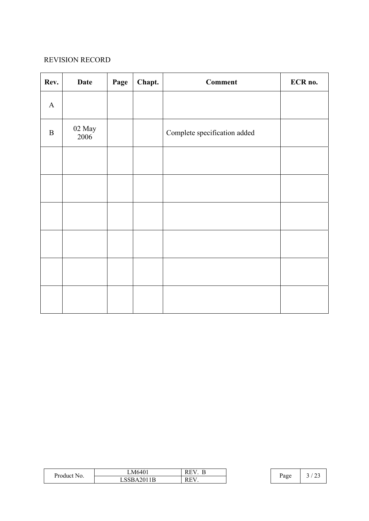#### REVISION RECORD

| Rev.         | <b>Date</b>                | Page | Chapt. | <b>Comment</b>               | ECR no. |
|--------------|----------------------------|------|--------|------------------------------|---------|
| $\mathbf{A}$ |                            |      |        |                              |         |
| $\, {\bf B}$ | $02\ \mathrm{May}$<br>2006 |      |        | Complete specification added |         |
|              |                            |      |        |                              |         |
|              |                            |      |        |                              |         |
|              |                            |      |        |                              |         |
|              |                            |      |        |                              |         |
|              |                            |      |        |                              |         |
|              |                            |      |        |                              |         |

| Product | LM6401          | $\mathbf{r}$<br>$\mathbf{v}$<br>-⊢<br>KE |      | $\sim$ |
|---------|-----------------|------------------------------------------|------|--------|
| No.     | 42011B<br>LUUDI | REV.                                     | rage | ۔ ت    |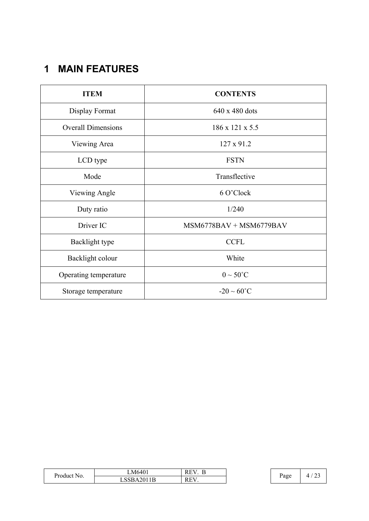# **1 MAIN FEATURES**

| <b>ITEM</b>               | <b>CONTENTS</b>           |
|---------------------------|---------------------------|
| Display Format            | 640 x 480 dots            |
| <b>Overall Dimensions</b> | 186 x 121 x 5.5           |
| Viewing Area              | 127 x 91.2                |
| LCD type                  | <b>FSTN</b>               |
| Mode                      | Transflective             |
| Viewing Angle             | 6 O'Clock                 |
| Duty ratio                | 1/240                     |
| Driver IC                 | $MSM6778BAV + MSM6779BAV$ |
| Backlight type            | <b>CCFL</b>               |
| Backlight colour          | White                     |
| Operating temperature     | $0 \sim 50^{\circ}$ C     |
| Storage temperature       | $-20 \sim 60^{\circ}$ C   |

| $\blacksquare$<br>Product No. | M6401    | RЕ<br>rе.<br>     |      | $\sim$<br>4 |
|-------------------------------|----------|-------------------|------|-------------|
|                               | ാമA2011ല | <b>REV</b><br>КE. | Page |             |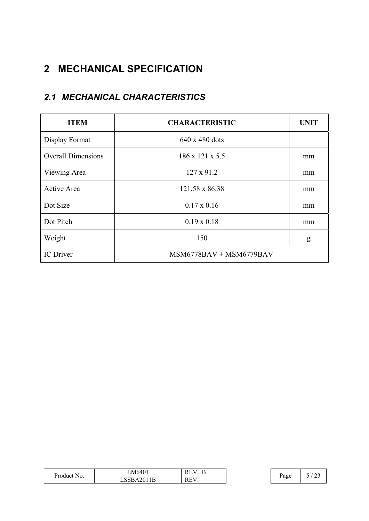# **2 MECHANICAL SPECIFICATION**

### *2.1 MECHANICAL CHARACTERISTICS*

| <b>ITEM</b>               | <b>CHARACTERISTIC</b>       | <b>UNIT</b> |
|---------------------------|-----------------------------|-------------|
| Display Format            | $640 \times 480$ dots       |             |
| <b>Overall Dimensions</b> | $186 \times 121 \times 5.5$ | mm          |
| Viewing Area              | 127 x 91.2                  | mm          |
| Active Area               | 121.58 x 86.38              | mm          |
| Dot Size                  | $0.17 \times 0.16$          | mm          |
| Dot Pitch                 | $0.19 \times 0.18$          | mm          |
| Weight                    | 150                         | g           |
| <b>IC</b> Driver          | $MSM6778BAV + MSM6779BAV$   |             |

| T.<br>Product<br>N <sub>0</sub> | <b>EN 86401</b><br>M640. | <b>TT</b><br>1.L | Ð    |                    |
|---------------------------------|--------------------------|------------------|------|--------------------|
|                                 | SSBA2011B                | D E V<br>1 V.L   | Page | <b>س سه</b><br>- - |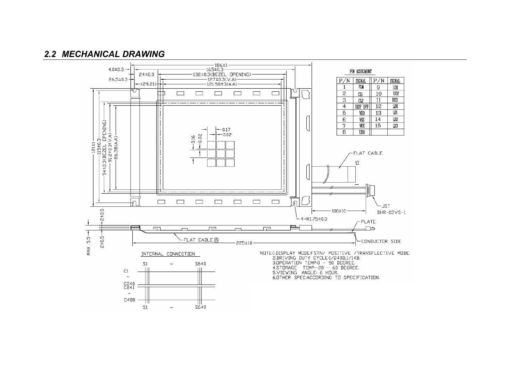### *2.2 MECHANICAL DRAWING*

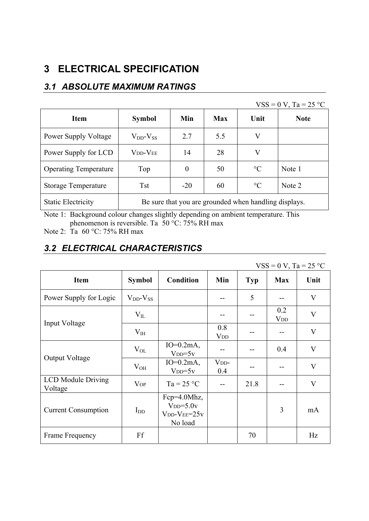## **3 ELECTRICAL SPECIFICATION**

### *3.1 ABSOLUTE MAXIMUM RATINGS*

|                              |                                                       |                |     |                 | $VSS = 0 V$ , Ta = 25 °C |
|------------------------------|-------------------------------------------------------|----------------|-----|-----------------|--------------------------|
| <b>Item</b>                  | <b>Symbol</b>                                         | Min            | Max | Unit            | <b>Note</b>              |
| <b>Power Supply Voltage</b>  | $V_{DD}$ - $V_{SS}$                                   | 2.7            | 5.5 | V               |                          |
| Power Supply for LCD         | <b>V<sub>DD</sub>-V<sub>EE</sub></b>                  | 14             | 28  | V               |                          |
| <b>Operating Temperature</b> | Top                                                   | $\overline{0}$ | 50  | $\rm ^{\circ}C$ | Note 1                   |
| <b>Storage Temperature</b>   | <b>Tst</b>                                            | $-20$          | 60  | $\rm ^{\circ}C$ | Note 2                   |
| <b>Static Electricity</b>    | Be sure that you are grounded when handling displays. |                |     |                 |                          |

Note 1: Background colour changes slightly depending on ambient temperature. This phenomenon is reversible. Ta 50 °C: 75% RH max

Note 2: Ta 60 °C: 75% RH max

## *3.2 ELECTRICAL CHARACTERISTICS*

|                                      |                     |                                                       |                               |            | $VSS = 0 V$ , Ta = 25 °C      |                         |
|--------------------------------------|---------------------|-------------------------------------------------------|-------------------------------|------------|-------------------------------|-------------------------|
| <b>Item</b>                          | <b>Symbol</b>       | <b>Condition</b>                                      | Min                           | <b>Typ</b> | <b>Max</b>                    | Unit                    |
| Power Supply for Logic               | $V_{DD}$ - $V_{SS}$ |                                                       | --                            | 5          |                               | $\mathbf V$             |
|                                      | $\rm V_{II}$        |                                                       |                               |            | 0.2<br><b>V</b> <sub>DD</sub> | $\bf V$                 |
| Input Voltage                        | $V_{IH}$            |                                                       | 0.8<br><b>V</b> <sub>DD</sub> |            |                               | $\mathbf{V}$            |
|                                      | $V_{OL}$            | $IO=0.2mA,$<br>$VDD=5v$                               | --                            |            | 0.4                           | $\mathbf V$             |
| Output Voltage                       | $\rm V_{OH}$        | $IO=0.2mA$ ,<br>$VDD=5v$                              | V <sub>DD</sub><br>0.4        | --         |                               | $\mathbf{V}$            |
| <b>LCD</b> Module Driving<br>Voltage | <b>V</b> OP         | $Ta = 25 °C$                                          |                               | 21.8       |                               | $\overline{\mathsf{V}}$ |
| <b>Current Consumption</b>           | $I_{DD}$            | Fcp=4.0Mhz,<br>$VDD=5.0v$<br>$VDD-VEE=25v$<br>No load |                               |            | 3                             | mA                      |
| Frame Frequency                      | Ff                  |                                                       |                               | 70         |                               | Hz                      |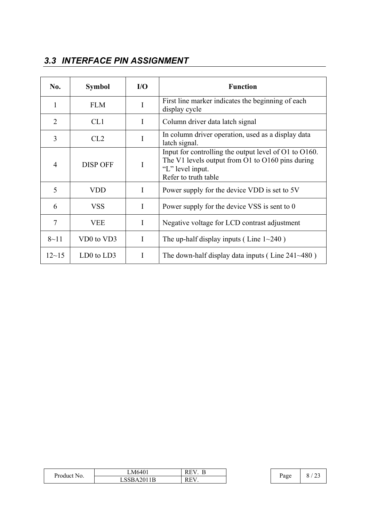## *3.3 INTERFACE PIN ASSIGNMENT*

| No.            | <b>Symbol</b>   | $IO$ | <b>Function</b>                                                                                                                                         |
|----------------|-----------------|------|---------------------------------------------------------------------------------------------------------------------------------------------------------|
| 1              | <b>FLM</b>      | I    | First line marker indicates the beginning of each<br>display cycle                                                                                      |
| $\overline{2}$ | CL1             | I    | Column driver data latch signal                                                                                                                         |
| 3              | CL2             | I    | In column driver operation, used as a display data<br>latch signal.                                                                                     |
| $\overline{4}$ | <b>DISP OFF</b> | I    | Input for controlling the output level of O1 to O160.<br>The V1 levels output from O1 to $O160$ pins during<br>"L" level input.<br>Refer to truth table |
| 5              | <b>VDD</b>      | I    | Power supply for the device VDD is set to 5V                                                                                                            |
| 6              | <b>VSS</b>      | I    | Power supply for the device VSS is sent to 0                                                                                                            |
| 7              | <b>VEE</b>      | I    | Negative voltage for LCD contrast adjustment                                                                                                            |
| $8 - 11$       | VD0 to VD3      | I    | The up-half display inputs (Line $1 \sim 240$ )                                                                                                         |
| $12 - 15$      | $LD0$ to $LD3$  | I    | The down-half display data inputs (Line $241 \sim 480$ )                                                                                                |

| $\sim$<br>Product<br>NO. | M640'      | $\overline{\phantom{a}}$<br>к<br>n.<br>- |      | ີ |
|--------------------------|------------|------------------------------------------|------|---|
|                          | LSSBA2011B | ЕV<br>к<br>⊥⊾                            | Page |   |

 $\overline{1}$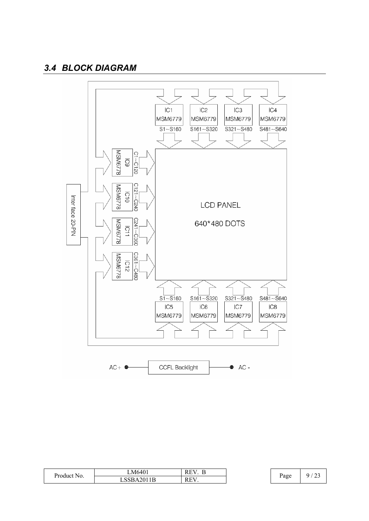### *3.4 BLOCK DIAGRAM*



| Product No. | LM6401       | RЕ<br>rе   | Page | $\sim$<br>ີ |
|-------------|--------------|------------|------|-------------|
|             | 2011B<br>`RA | <b>REV</b> |      | رے          |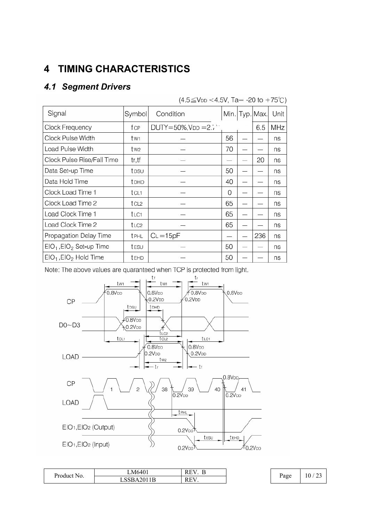# **4 TIMING CHARACTERISTICS**

## *4.1 Segment Drivers*

|  | (4.5≦VDD <4.5V, Ta= -20 to +75℃) |  |  |
|--|----------------------------------|--|--|
|  |                                  |  |  |

| Signal                      | Symbol       | Condition                |    | Min   Typ   Max. | Unit |
|-----------------------------|--------------|--------------------------|----|------------------|------|
| Clock Frequency             | fcp          | $DUTY = 50\%, VDD = 2.7$ |    | 6.5              | MHz  |
| Clock Pulse Width           | tw1          |                          | 56 |                  | ns   |
| Load Pulse Width            | tw2          |                          | 70 |                  | ns   |
| Clock Pulse Rise/Fall Time  | tr,tf        |                          |    | 20               | ns   |
| Data Set-up Time            | tpsu         |                          | 50 |                  | ns   |
| Data Hold Time              | <b>TDHD</b>  |                          | 40 |                  | ns   |
| Clock Load Time 1           | tcl1         |                          | 0  |                  | ns   |
| Clock Load Time 2           | tcl2         |                          | 65 |                  | ns   |
| Load Clock Time 1           | t∟c1         |                          | 65 |                  | ns   |
| Load Clock Time 2           | t LC2        |                          | 65 |                  | ns   |
| Propagation Delay Time      | <b>t</b> PHL | $C_L = 15pF$             |    | 236              | ns   |
| $EIO1$ , $EIO2$ Set-up Time | tesu         |                          | 50 |                  | ns   |
| $EIO1$ , $EIO2$ Hold Time   | <b>tEHD</b>  |                          | 50 |                  | ns   |

Note: The above values are quaranteed when TCP is protected from light.



| Product No. | LM6401    | v<br>к<br>$\overline{1}$<br><b>.</b> |      | $\sim$ $\sim$<br>10 |
|-------------|-----------|--------------------------------------|------|---------------------|
|             | $\lambda$ | $\mathbf{r}$<br>к                    | Page | ت ک                 |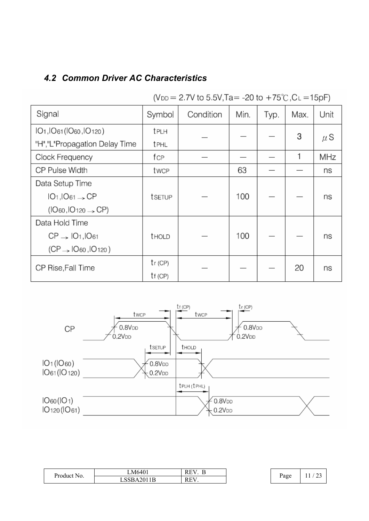## *4.2 Common Driver AC Characteristics*

| Signal                                                                     | Symbol        | Condition | Min. | Typ. | Max. | Unit    |
|----------------------------------------------------------------------------|---------------|-----------|------|------|------|---------|
| IO <sub>1</sub> , IO <sub>61</sub> (IO <sub>60</sub> , IO <sub>120</sub> ) | <b>t</b> PLH  |           |      |      | 3    |         |
| "H","L"Propagation Delay Time                                              | <b>t</b> PHL  |           |      |      |      | $\mu$ S |
| Clock Frequency                                                            | fcp           |           |      |      | 1    | MHz     |
| CP Pulse Width                                                             | twcp          |           | 63   |      |      | ns      |
| Data Setup Time                                                            |               |           |      |      |      |         |
| $IO1,IO61 \rightarrow CP$                                                  | tsetup        |           | 100  |      |      | ns      |
| $(IO_{60}, IO_{120} \rightarrow CP)$                                       |               |           |      |      |      |         |
| Data Hold Time                                                             |               |           |      |      |      |         |
| $CP \rightarrow IO1, IO61$                                                 | <b>t</b> HOLD |           | 100  |      |      | ns      |
| $(CP \rightarrow IO_{60}$ , $IO_{120}$ )                                   |               |           |      |      |      |         |
| CP Rise, Fall Time                                                         | $tr$ (CP)     |           |      |      | 20   | ns      |
|                                                                            | tf(CP)        |           |      |      |      |         |

(V<sub>DD</sub> = 2.7V to 5.5V, Ta = -20 to +75°C, C<sub>L</sub> = 15pF)



| $\mathbf{r}$<br>Product<br>NO. | LM6401              | к<br>$\sim$<br>-       |           | $\sim$ |
|--------------------------------|---------------------|------------------------|-----------|--------|
|                                | 2011R<br>LSSBAZULIB | <b>DD</b><br>к<br>11.1 | Page<br>J | --     |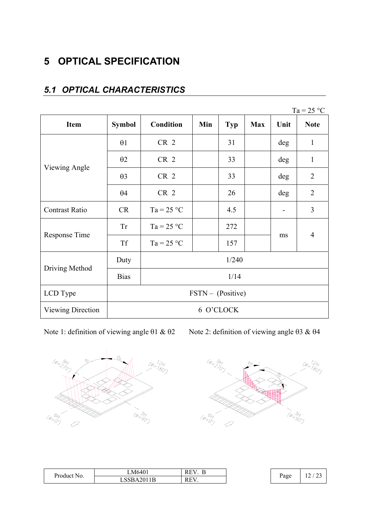## **5 OPTICAL SPECIFICATION**

|                   |                            |                 |     |            |            |      | $Ta = 25 °C$   |
|-------------------|----------------------------|-----------------|-----|------------|------------|------|----------------|
| <b>Item</b>       | <b>Symbol</b>              | Condition       | Min | <b>Typ</b> | <b>Max</b> | Unit | <b>Note</b>    |
|                   | $\theta$ 1                 | CR <sub>2</sub> |     | 31         |            | deg  | $\mathbf{1}$   |
| Viewing Angle     | $\theta$ 2                 | CR <sub>2</sub> |     | 33         |            | deg  | $\mathbf{1}$   |
|                   | $\theta$ 3                 | CR <sub>2</sub> |     | 33         |            | deg  | $\overline{2}$ |
|                   | $\theta$ 4                 | CR <sub>2</sub> |     | 26         |            | deg  | $\overline{2}$ |
| Contrast Ratio    | <b>CR</b>                  | $Ta = 25 °C$    |     | 4.5        |            |      | 3              |
|                   | <b>Tr</b>                  | $Ta = 25 °C$    |     | 272        |            |      | $\overline{4}$ |
| Response Time     | <b>Tf</b>                  | $Ta = 25 °C$    |     | 157        |            | ms   |                |
|                   | Duty                       |                 |     | 1/240      |            |      |                |
| Driving Method    | <b>Bias</b>                | 1/14            |     |            |            |      |                |
| LCD Type          | $\text{FSTN}$ – (Positive) |                 |     |            |            |      |                |
| Viewing Direction |                            |                 |     | 6 O'CLOCK  |            |      |                |

### *5.1 OPTICAL CHARACTERISTICS*

Note 1: definition of viewing angle  $\theta$ 1 &  $\theta$ 2 Note 2: definition of viewing angle  $\theta$ 3 &  $\theta$ 4





| --<br>$\blacksquare$ | M6401           | ∽<br>л.<br>к<br>⊥<br> |      | $\sim$ $\sim$<br>$\sim$              |
|----------------------|-----------------|-----------------------|------|--------------------------------------|
| Product<br>NO.       | 42011B<br>LOODA | <b>REV</b><br>1.L     | Page | $\overline{\phantom{a}}$<br><u>_</u> |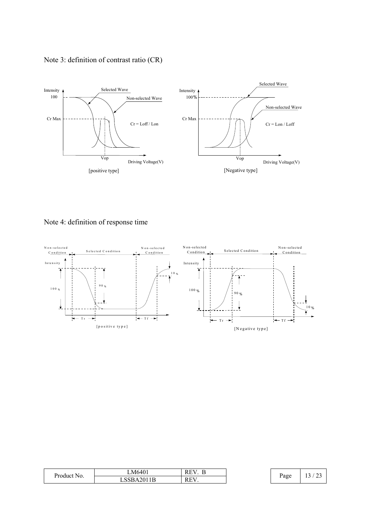



Note 4: definition of response time



| Product No. | LM6401                      | <b>REV</b><br><b>.</b> |      | $\sim$ $\sim$<br>$\sim$<br>-4 |
|-------------|-----------------------------|------------------------|------|-------------------------------|
|             | .2011B<br>CCD<br>LSSBA2011B | REV.                   | Page | ر ب<br>$\overline{ }$         |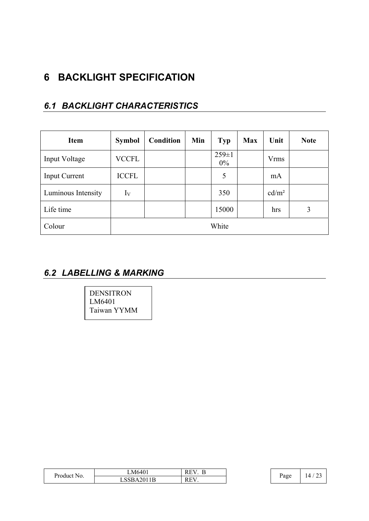## **6 BACKLIGHT SPECIFICATION**

### *6.1 BACKLIGHT CHARACTERISTICS*

| <b>Item</b>          | <b>Symbol</b> | Condition | Min | <b>Typ</b>           | <b>Max</b> | Unit              | <b>Note</b> |
|----------------------|---------------|-----------|-----|----------------------|------------|-------------------|-------------|
| Input Voltage        | <b>VCCFL</b>  |           |     | $259 \pm 1$<br>$0\%$ |            | <b>Vrms</b>       |             |
| <b>Input Current</b> | <b>ICCFL</b>  |           |     | 5                    |            | mA                |             |
| Luminous Intensity   | $I_V$         |           |     | 350                  |            | cd/m <sup>2</sup> |             |
| Life time            |               |           |     | 15000                |            | hrs               | 3           |
| Colour               |               |           |     | White                |            |                   |             |

### *6.2 LABELLING & MARKING*

DENSITRON LM6401 Taiwan YYMM

| $\sim$<br>Product No. | M6401<br>. . | –<br>v<br>к<br>⊥<br>∸ |  | Page | $\sim$<br>, 4 |
|-----------------------|--------------|-----------------------|--|------|---------------|
|                       | LSSBA2011B   | EV<br>к<br>w          |  |      |               |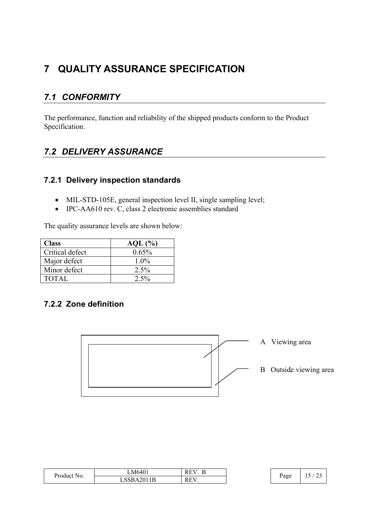## **7 QUALITY ASSURANCE SPECIFICATION**

## *7.1 CONFORMITY*

The performance, function and reliability of the shipped products conform to the Product Specification.

### *7.2 DELIVERY ASSURANCE*

### **7.2.1 Delivery inspection standards**

- MIL-STD-105E, general inspection level II, single sampling level;
- $\bullet$  IPC-AA610 rev. C, class 2 electronic assemblies standard

The quality assurance levels are shown below:

| <b>Class</b>    | $AQL$ $%$ |
|-----------------|-----------|
| Critical defect | 0.65%     |
| Major defect    | $1.0\%$   |
| Minor defect    | 2.5%      |
| <b>TOTAL</b>    | $2.5\%$   |

### **7.2.2 Zone definition**



| T.<br>Product<br>NO. | $M640^\circ$                          | $- -$<br>RE |  | ∙age<br>ت | ت |
|----------------------|---------------------------------------|-------------|--|-----------|---|
|                      | 1I)<br>$\mathbf{R}$<br>. $\mathbf{v}$ | <b>REV</b>  |  |           |   |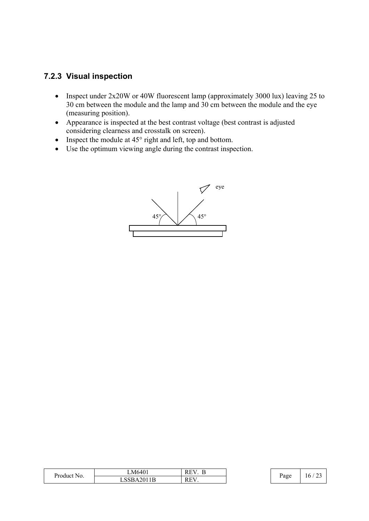### **7.2.3 Visual inspection**

- Inspect under  $2x20W$  or 40W fluorescent lamp (approximately 3000 lux) leaving 25 to 30 cm between the module and the lamp and 30 cm between the module and the eye (measuring position).
- Appearance is inspected at the best contrast voltage (best contrast is adjusted considering clearness and crosstalk on screen).
- Inspect the module at  $45^{\circ}$  right and left, top and bottom.
- $\bullet$  Use the optimum viewing angle during the contrast inspection.



| <b>TV</b><br>Product No. | M6401      | –<br>`\,<br>к<br>⊥<br>∸ | Ð    | $\sim$ $\sim$<br>16 |
|--------------------------|------------|-------------------------|------|---------------------|
|                          | LSSBA2011B | <b>REV</b>              | Page |                     |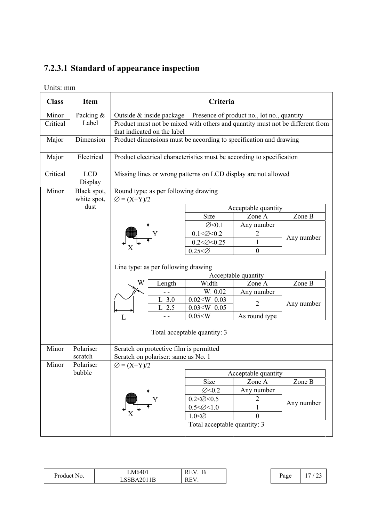# **7.2.3.1 Standard of appearance inspection**

Units: mm

| <b>Class</b> | <b>Item</b>                |                         |                                                                                                              | Criteria                     |                                                                       |            |
|--------------|----------------------------|-------------------------|--------------------------------------------------------------------------------------------------------------|------------------------------|-----------------------------------------------------------------------|------------|
| Minor        | Packing &                  |                         | Outside & inside package                                                                                     |                              | Presence of product no., lot no., quantity                            |            |
| Critical     | Label                      |                         | Product must not be mixed with others and quantity must not be different from<br>that indicated on the label |                              |                                                                       |            |
| Major        | Dimension                  |                         |                                                                                                              |                              | Product dimensions must be according to specification and drawing     |            |
| Major        | Electrical                 |                         |                                                                                                              |                              | Product electrical characteristics must be according to specification |            |
| Critical     | <b>LCD</b><br>Display      |                         |                                                                                                              |                              | Missing lines or wrong patterns on LCD display are not allowed        |            |
| Minor        | Black spot,<br>white spot, | $\varnothing = (X+Y)/2$ | Round type: as per following drawing                                                                         |                              |                                                                       |            |
|              | dust                       |                         |                                                                                                              |                              | Acceptable quantity                                                   |            |
|              |                            |                         |                                                                                                              | Size                         | Zone A                                                                | Zone B     |
|              |                            |                         |                                                                                                              | $\varnothing$ < 0.1          | Any number                                                            |            |
|              |                            |                         |                                                                                                              | $0.1 < \emptyset < 0.2$      | $\overline{c}$                                                        |            |
|              |                            |                         |                                                                                                              | $0.2 < \emptyset < 0.25$     |                                                                       | Any number |
|              |                            |                         |                                                                                                              | $0.25 < \emptyset$           | $\overline{0}$                                                        |            |
|              |                            |                         | Line type: as per following drawing                                                                          |                              | Acceptable quantity                                                   |            |
|              |                            | W                       | Length                                                                                                       | Width                        | Zone A                                                                | Zone B     |
|              |                            |                         | - -                                                                                                          | W. 0.02                      | Any number                                                            |            |
|              |                            |                         | L <sub>a</sub> 3.0                                                                                           | $0.02 < W$ , $0.03$          |                                                                       |            |
|              |                            |                         | L <sub>2.5</sub>                                                                                             | $0.03 < W_{0} 0.05$          | $\overline{2}$                                                        | Any number |
|              |                            | L                       |                                                                                                              | 0.05 < W                     | As round type                                                         |            |
|              |                            |                         |                                                                                                              | Total acceptable quantity: 3 |                                                                       |            |
| Minor        | Polariser                  |                         | Scratch on protective film is permitted                                                                      |                              |                                                                       |            |
|              | scratch                    |                         | Scratch on polariser: same as No. 1                                                                          |                              |                                                                       |            |
| Minor        | Polariser                  | $\varnothing = (X+Y)/2$ |                                                                                                              |                              |                                                                       |            |
|              | bubble                     | Acceptable quantity     |                                                                                                              |                              |                                                                       |            |
|              |                            |                         |                                                                                                              | Size                         | Zone A                                                                | Zone B     |
|              |                            |                         |                                                                                                              | $\emptyset$ < 0.2            | Any number                                                            |            |
|              |                            |                         | Y                                                                                                            | $0.2 < \emptyset < 0.5$      | $\overline{2}$                                                        | Any number |
|              |                            |                         |                                                                                                              | $0.5 < \emptyset < 1.0$      |                                                                       |            |
|              |                            |                         |                                                                                                              | $1.0<\emptyset$              | $\boldsymbol{0}$                                                      |            |
|              |                            |                         |                                                                                                              | Total acceptable quantity: 3 |                                                                       |            |

| Product i<br>N <sub>O</sub> | M6401      | $- - -$<br>КE<br>- | - |           | $\overline{ }$<br>$\sim$ |
|-----------------------------|------------|--------------------|---|-----------|--------------------------|
|                             | LSSBA2011B | REV                |   | Page<br>Č | <u>.</u>                 |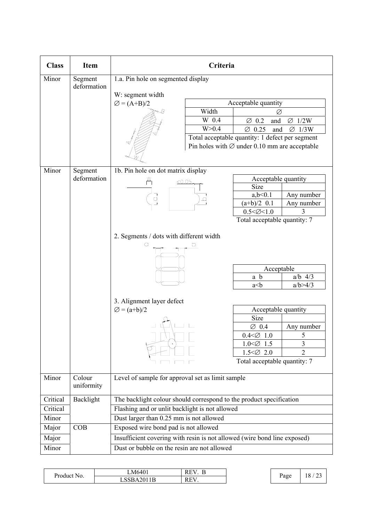| <b>Class</b> | <b>Item</b>            |                                                                                                                                                          | Criteria                                                                                                                                                                                                                                                               |
|--------------|------------------------|----------------------------------------------------------------------------------------------------------------------------------------------------------|------------------------------------------------------------------------------------------------------------------------------------------------------------------------------------------------------------------------------------------------------------------------|
| Minor        | Segment<br>deformation | 1.a. Pin hole on segmented display                                                                                                                       |                                                                                                                                                                                                                                                                        |
|              |                        | W: segment width                                                                                                                                         |                                                                                                                                                                                                                                                                        |
|              |                        | $\varnothing = (A+B)/2$                                                                                                                                  | Acceptable quantity                                                                                                                                                                                                                                                    |
|              |                        | Width                                                                                                                                                    | Ø                                                                                                                                                                                                                                                                      |
|              |                        | $W_0$ 0.4                                                                                                                                                | $\varnothing$ , 0.2<br>$\varnothing$ , 1/2W<br>and                                                                                                                                                                                                                     |
|              |                        | W > 0.4                                                                                                                                                  | $\varnothing$ 0.25<br>$\varnothing$ . 1/3W<br>and                                                                                                                                                                                                                      |
|              |                        |                                                                                                                                                          | Total acceptable quantity: 1 defect per segment<br>Pin holes with $\varnothing$ under 0.10 mm are acceptable                                                                                                                                                           |
| Minor        | Segment                | 1b. Pin hole on dot matrix display                                                                                                                       |                                                                                                                                                                                                                                                                        |
|              | deformation            | Ж<br>< 0.05                                                                                                                                              | Acceptable quantity                                                                                                                                                                                                                                                    |
|              |                        |                                                                                                                                                          | Size                                                                                                                                                                                                                                                                   |
|              |                        |                                                                                                                                                          | a, b < 0.1<br>Any number                                                                                                                                                                                                                                               |
|              |                        |                                                                                                                                                          | $(a+b)/2$ , 0.1<br>Any number                                                                                                                                                                                                                                          |
|              |                        |                                                                                                                                                          | $0.5 < \emptyset < 1.0$<br>3<br>Total acceptable quantity: 7                                                                                                                                                                                                           |
| Minor        | Colour                 | 2. Segments / dots with different width<br>b<br>3. Alignment layer defect<br>$\varnothing = (a+b)/2$<br>Level of sample for approval set as limit sample | Acceptable<br>a b<br>$a/b$ , $4/3$<br>a/b > 4/3<br>a< b<br>Acceptable quantity<br>Size<br>Any number<br>$\varnothing$ , 0.4<br>$0.4 < \emptyset$ 1.0<br>5<br>3<br>$1.0 < \emptyset$ , 1.5<br>$\overline{2}$<br>$1.5 < \emptyset$ , 2.0<br>Total acceptable quantity: 7 |
|              | uniformity             |                                                                                                                                                          |                                                                                                                                                                                                                                                                        |
| Critical     | Backlight              | The backlight colour should correspond to the product specification                                                                                      |                                                                                                                                                                                                                                                                        |
| Critical     |                        | Flashing and or unlit backlight is not allowed                                                                                                           |                                                                                                                                                                                                                                                                        |
| Minor        |                        | Dust larger than 0.25 mm is not allowed                                                                                                                  |                                                                                                                                                                                                                                                                        |
| Major        | COB                    | Exposed wire bond pad is not allowed                                                                                                                     |                                                                                                                                                                                                                                                                        |
| Major        |                        | Insufficient covering with resin is not allowed (wire bond line exposed)                                                                                 |                                                                                                                                                                                                                                                                        |
| Minor        |                        | Dust or bubble on the resin are not allowed                                                                                                              |                                                                                                                                                                                                                                                                        |

| $\mathbf{r}$<br>$\sqrt{ }$<br>Product<br>No. | M640'<br>. .                    | $\mathbf{r}$<br>к<br>⊥⊾<br>╌ |           | $\sim$<br>$\Omega$ |
|----------------------------------------------|---------------------------------|------------------------------|-----------|--------------------|
|                                              | $\mathbf{1}$<br>LSSBA20<br>11 R | $\Gamma$<br>КE               | Page<br>J | LΟ<br>ہے ۔         |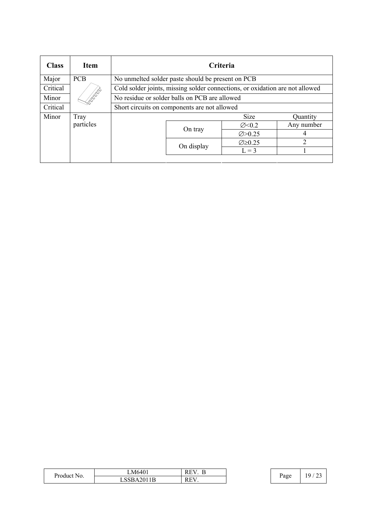| <b>Class</b> | <b>Item</b>        | Criteria                                                                     |            |                         |               |
|--------------|--------------------|------------------------------------------------------------------------------|------------|-------------------------|---------------|
| Major        | <b>PCB</b>         | No unmelted solder paste should be present on PCB                            |            |                         |               |
| Critical     |                    | Cold solder joints, missing solder connections, or oxidation are not allowed |            |                         |               |
| Minor        | <b>Roman</b><br>Ro | No residue or solder balls on PCB are allowed                                |            |                         |               |
| Critical     |                    | Short circuits on components are not allowed                                 |            |                         |               |
| Minor        | Tray               |                                                                              |            | <b>Size</b>             | Ouantity      |
|              | particles          |                                                                              | On tray    | $\varnothing$ < 0.2     | Any number    |
|              |                    |                                                                              |            | $\varnothing > 0.25$    | 4             |
|              |                    |                                                                              | On display | $\varnothing \geq 0.25$ | $\mathcal{D}$ |
|              |                    |                                                                              |            | $L = 3$                 |               |
|              |                    |                                                                              |            |                         |               |

| $\sim$      | LM6401               | –<br>к<br>$\sim$ $\sim$ $\sim$ |      | $^{\circ}$ |
|-------------|----------------------|--------------------------------|------|------------|
| Product No. | .2011B<br>LSSBA2011B | P(T)<br>к<br>15.1              | Page | <u>_</u>   |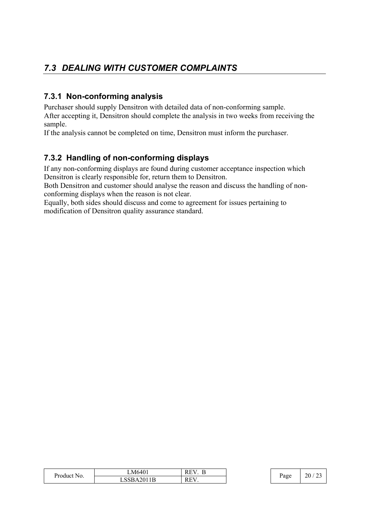## *7.3 DEALING WITH CUSTOMER COMPLAINTS*

### **7.3.1 Non-conforming analysis**

Purchaser should supply Densitron with detailed data of non-conforming sample. After accepting it, Densitron should complete the analysis in two weeks from receiving the sample.

If the analysis cannot be completed on time, Densitron must inform the purchaser.

### **7.3.2 Handling of non-conforming displays**

If any non-conforming displays are found during customer acceptance inspection which Densitron is clearly responsible for, return them to Densitron.

Both Densitron and customer should analyse the reason and discuss the handling of nonconforming displays when the reason is not clear.

Equally, both sides should discuss and come to agreement for issues pertaining to modification of Densitron quality assurance standard.

| n<br><b>Product No.</b> | M6401_     | Ð<br>E<br>v<br>.,<br>к.<br>1 V.L |  | Page<br>ັ | 20 |
|-------------------------|------------|----------------------------------|--|-----------|----|
|                         | LSSBA2011B | <b>REV</b><br>⊥⊾                 |  |           |    |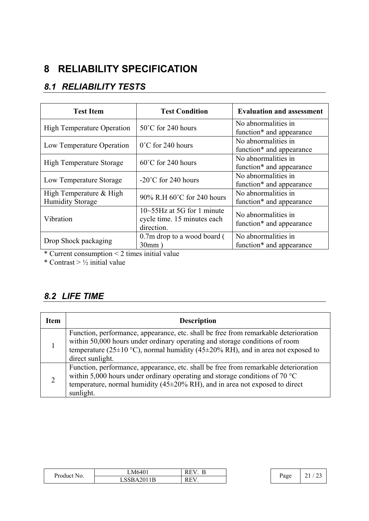# **8 RELIABILITY SPECIFICATION**

## *8.1 RELIABILITY TESTS*

| <b>Test Item</b>                                   | <b>Test Condition</b>                                                           | <b>Evaluation and assessment</b>                            |
|----------------------------------------------------|---------------------------------------------------------------------------------|-------------------------------------------------------------|
| <b>High Temperature Operation</b>                  | $50^{\circ}$ C for 240 hours                                                    | No abnormalities in<br>function <sup>*</sup> and appearance |
| Low Temperature Operation                          | $0^{\circ}$ C for 240 hours                                                     | No abnormalities in<br>function* and appearance             |
| <b>High Temperature Storage</b>                    | $60^{\circ}$ C for 240 hours                                                    | No abnormalities in<br>function* and appearance             |
| Low Temperature Storage                            | $-20^{\circ}$ C for 240 hours                                                   | No abnormalities in<br>function <sup>*</sup> and appearance |
| High Temperature & High<br><b>Humidity Storage</b> | 90% R.H 60°C for 240 hours                                                      | No abnormalities in<br>function <sup>*</sup> and appearance |
| Vibration                                          | $10 \sim 55$ Hz at 5G for 1 minute<br>cycle time. 15 minutes each<br>direction. | No abnormalities in<br>function <sup>*</sup> and appearance |
| Drop Shock packaging                               | 0.7m drop to a wood board (<br>30mm)                                            | No abnormalities in<br>function* and appearance             |

\* Current consumption < 2 times initial value

\* Contrast >  $\frac{1}{2}$  initial value

### *8.2 LIFE TIME*

| <b>Item</b> | <b>Description</b>                                                                                                                                                                                                                                                             |
|-------------|--------------------------------------------------------------------------------------------------------------------------------------------------------------------------------------------------------------------------------------------------------------------------------|
|             | Function, performance, appearance, etc. shall be free from remarkable deterioration<br>within 50,000 hours under ordinary operating and storage conditions of room<br>temperature (25±10 °C), normal humidity (45±20% RH), and in area not exposed to<br>direct sunlight.      |
| 2           | Function, performance, appearance, etc. shall be free from remarkable deterioration<br>within 5,000 hours under ordinary operating and storage conditions of 70 $^{\circ}$ C<br>temperature, normal humidity ( $45\pm20\%$ RH), and in area not exposed to direct<br>sunlight. |

| $\sqrt{ }$<br>Product | $M640^\circ$<br>. .                                   | к<br>$\overline{\phantom{0}}$ |  | Page | $\sim$<br><u>، ، ،</u><br><u>.</u> |
|-----------------------|-------------------------------------------------------|-------------------------------|--|------|------------------------------------|
| N <sub>O</sub>        | $20^{\circ}$<br>1.17<br>$\sqrt{ }$<br>7. I D<br>. 14V | REV.                          |  |      |                                    |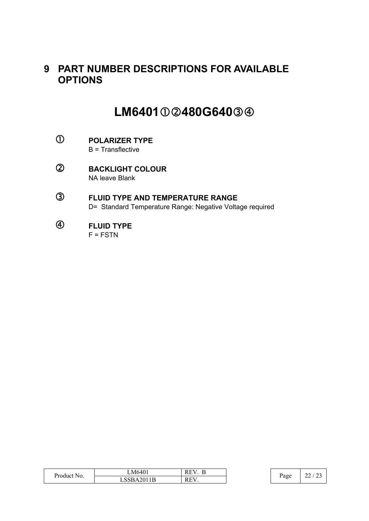## **9 PART NUMBER DESCRIPTIONS FOR AVAILABLE OPTIONS**

# LM6401**①2480G640**34

- c **POLARIZER TYPE**  B = Transflective
- d **BACKLIGHT COLOUR**  NA leave Blank
- e **FLUID TYPE AND TEMPERATURE RANGE**  D= Standard Temperature Range: Negative Voltage required
- f **FLUID TYPE**   $F = FSTN$

| $\blacksquare$ | LM6401     | –<br>RЬ<br>rе.<br><b>.</b> |  | Page | $\sim$<br>∠∠<br>ر ب |
|----------------|------------|----------------------------|--|------|---------------------|
| Product No.    | LSSBA2011B | <b>REV</b><br>КE.<br>. .   |  |      |                     |